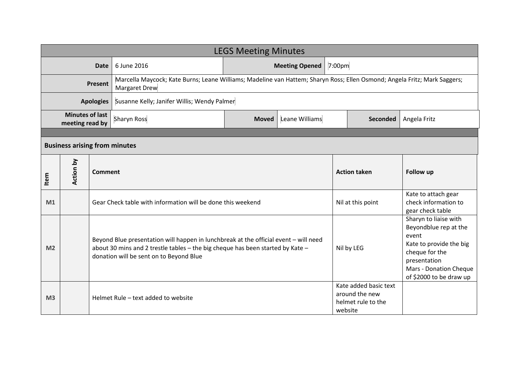| <b>LEGS Meeting Minutes</b>               |           |                |                                                                                                                                                                                                                   |                       |                |         |                                                               |                                                                                                                                                                           |  |
|-------------------------------------------|-----------|----------------|-------------------------------------------------------------------------------------------------------------------------------------------------------------------------------------------------------------------|-----------------------|----------------|---------|---------------------------------------------------------------|---------------------------------------------------------------------------------------------------------------------------------------------------------------------------|--|
| <b>Date</b>                               |           |                | 6 June 2016                                                                                                                                                                                                       | <b>Meeting Opened</b> |                |         | 7:00 <sub>pm</sub>                                            |                                                                                                                                                                           |  |
| <b>Present</b>                            |           |                | Marcella Maycock; Kate Burns; Leane Williams; Madeline van Hattem; Sharyn Ross; Ellen Osmond; Angela Fritz; Mark Saggers;<br>Margaret Drew                                                                        |                       |                |         |                                                               |                                                                                                                                                                           |  |
| <b>Apologies</b>                          |           |                | Susanne Kelly; Janifer Willis; Wendy Palmer                                                                                                                                                                       |                       |                |         |                                                               |                                                                                                                                                                           |  |
| <b>Minutes of last</b><br>meeting read by |           |                | <b>Sharyn Ross</b>                                                                                                                                                                                                | <b>Moved</b>          | Leane Williams |         | <b>Seconded</b>                                               | Angela Fritz                                                                                                                                                              |  |
|                                           |           |                |                                                                                                                                                                                                                   |                       |                |         |                                                               |                                                                                                                                                                           |  |
| <b>Business arising from minutes</b>      |           |                |                                                                                                                                                                                                                   |                       |                |         |                                                               |                                                                                                                                                                           |  |
| Item                                      | Action by | <b>Comment</b> |                                                                                                                                                                                                                   |                       |                |         | <b>Action taken</b>                                           | <b>Follow up</b>                                                                                                                                                          |  |
| M1                                        |           |                | Gear Check table with information will be done this weekend                                                                                                                                                       |                       |                |         | Nil at this point                                             | Kate to attach gear<br>check information to<br>gear check table                                                                                                           |  |
| M <sub>2</sub>                            |           |                | Beyond Blue presentation will happen in lunchbreak at the official event - will need<br>about 30 mins and 2 trestle tables - the big cheque has been started by Kate -<br>donation will be sent on to Beyond Blue |                       | Nil by LEG     |         |                                                               | Sharyn to liaise with<br>Beyondblue rep at the<br>event<br>Kate to provide the big<br>cheque for the<br>presentation<br>Mars - Donation Cheque<br>of \$2000 to be draw up |  |
| M <sub>3</sub>                            |           |                | Helmet Rule - text added to website                                                                                                                                                                               |                       |                | website | Kate added basic text<br>around the new<br>helmet rule to the |                                                                                                                                                                           |  |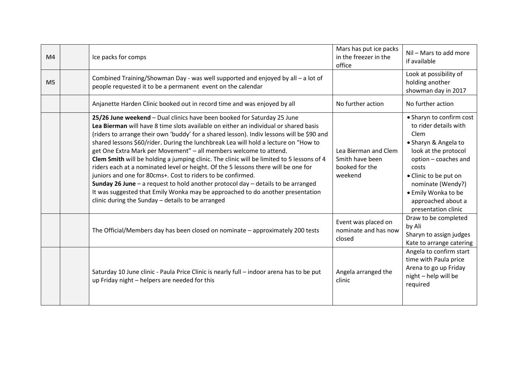| M <sub>4</sub> | Ice packs for comps                                                                                                                                                                                                                                                                                                                                                                                                                                                                                                                                                                                                                                                                                                                                                                                                                                                                                              | Mars has put ice packs<br>in the freezer in the<br>office            | Nil - Mars to add more<br>if available                                                                                                                                                                                                                       |
|----------------|------------------------------------------------------------------------------------------------------------------------------------------------------------------------------------------------------------------------------------------------------------------------------------------------------------------------------------------------------------------------------------------------------------------------------------------------------------------------------------------------------------------------------------------------------------------------------------------------------------------------------------------------------------------------------------------------------------------------------------------------------------------------------------------------------------------------------------------------------------------------------------------------------------------|----------------------------------------------------------------------|--------------------------------------------------------------------------------------------------------------------------------------------------------------------------------------------------------------------------------------------------------------|
| M <sub>5</sub> | Combined Training/Showman Day - was well supported and enjoyed by all - a lot of<br>people requested it to be a permanent event on the calendar                                                                                                                                                                                                                                                                                                                                                                                                                                                                                                                                                                                                                                                                                                                                                                  |                                                                      | Look at possibility of<br>holding another<br>showman day in 2017                                                                                                                                                                                             |
|                | Anjanette Harden Clinic booked out in record time and was enjoyed by all                                                                                                                                                                                                                                                                                                                                                                                                                                                                                                                                                                                                                                                                                                                                                                                                                                         | No further action                                                    | No further action                                                                                                                                                                                                                                            |
|                | 25/26 June weekend - Dual clinics have been booked for Saturday 25 June<br>Lea Bierman will have 8 time slots available on either an individual or shared basis<br>(riders to arrange their own 'buddy' for a shared lesson). Indiv lessons will be \$90 and<br>shared lessons \$60/rider. During the lunchbreak Lea will hold a lecture on "How to<br>get One Extra Mark per Movement" - all members welcome to attend.<br>Clem Smith will be holding a jumping clinic. The clinic will be limited to 5 lessons of 4<br>riders each at a nominated level or height. Of the 5 lessons there will be one for<br>juniors and one for 80cms+. Cost to riders to be confirmed.<br><b>Sunday 26 June</b> $-$ a request to hold another protocol day $-$ details to be arranged<br>It was suggested that Emily Wonka may be approached to do another presentation<br>clinic during the Sunday - details to be arranged | Lea Bierman and Clem<br>Smith have been<br>booked for the<br>weekend | • Sharyn to confirm cost<br>to rider details with<br>Clem<br>• Sharyn & Angela to<br>look at the protocol<br>option - coaches and<br>costs<br>• Clinic to be put on<br>nominate (Wendy?)<br>• Emily Wonka to be<br>approached about a<br>presentation clinic |
|                | The Official/Members day has been closed on nominate - approximately 200 tests                                                                                                                                                                                                                                                                                                                                                                                                                                                                                                                                                                                                                                                                                                                                                                                                                                   | Event was placed on<br>nominate and has now<br>closed                | Draw to be completed<br>by Ali<br>Sharyn to assign judges<br>Kate to arrange catering                                                                                                                                                                        |
|                | Saturday 10 June clinic - Paula Price Clinic is nearly full – indoor arena has to be put<br>up Friday night - helpers are needed for this                                                                                                                                                                                                                                                                                                                                                                                                                                                                                                                                                                                                                                                                                                                                                                        | Angela arranged the<br>clinic                                        | Angela to confirm start<br>time with Paula price<br>Arena to go up Friday<br>night - help will be<br>required                                                                                                                                                |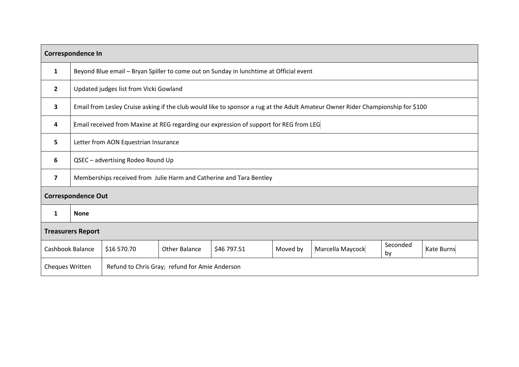| <b>Correspondence In</b>  |                                                                                        |                                                                                                                                 |                      |             |          |                  |                |            |  |
|---------------------------|----------------------------------------------------------------------------------------|---------------------------------------------------------------------------------------------------------------------------------|----------------------|-------------|----------|------------------|----------------|------------|--|
| 1                         |                                                                                        | Beyond Blue email - Bryan Spiller to come out on Sunday in lunchtime at Official event                                          |                      |             |          |                  |                |            |  |
| $\overline{2}$            |                                                                                        | Updated judges list from Vicki Gowland                                                                                          |                      |             |          |                  |                |            |  |
| 3                         |                                                                                        | Email from Lesley Cruise asking if the club would like to sponsor a rug at the Adult Amateur Owner Rider Championship for \$100 |                      |             |          |                  |                |            |  |
| 4                         | Email received from Maxine at REG regarding our expression of support for REG from LEG |                                                                                                                                 |                      |             |          |                  |                |            |  |
| 5                         | Letter from AON Equestrian Insurance                                                   |                                                                                                                                 |                      |             |          |                  |                |            |  |
| 6                         | QSEC - advertising Rodeo Round Up                                                      |                                                                                                                                 |                      |             |          |                  |                |            |  |
| $\overline{7}$            | Memberships received from Julie Harm and Catherine and Tara Bentley                    |                                                                                                                                 |                      |             |          |                  |                |            |  |
| <b>Correspondence Out</b> |                                                                                        |                                                                                                                                 |                      |             |          |                  |                |            |  |
| $\mathbf{1}$              | <b>None</b>                                                                            |                                                                                                                                 |                      |             |          |                  |                |            |  |
| <b>Treasurers Report</b>  |                                                                                        |                                                                                                                                 |                      |             |          |                  |                |            |  |
| Cashbook Balance          |                                                                                        | \$16 570.70                                                                                                                     | <b>Other Balance</b> | \$46 797.51 | Moved by | Marcella Maycock | Seconded<br>by | Kate Burns |  |
| <b>Cheques Written</b>    |                                                                                        | Refund to Chris Gray; refund for Amie Anderson                                                                                  |                      |             |          |                  |                |            |  |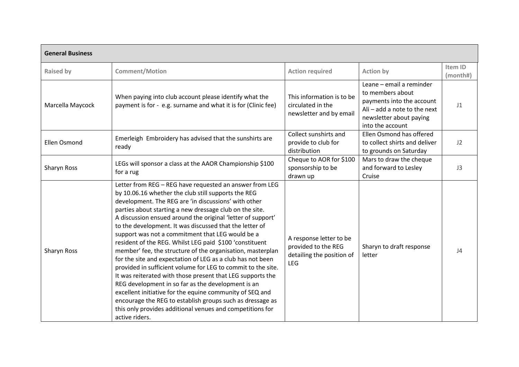| <b>General Business</b> |                                                                                                                                                                                                                                                                                                                                                                                                                                                                                                                                                                                                                                                                                                                                                                                                                                                                                                                                                                                                    |                                                                                           |                                                                                                                                                            |                     |  |  |  |
|-------------------------|----------------------------------------------------------------------------------------------------------------------------------------------------------------------------------------------------------------------------------------------------------------------------------------------------------------------------------------------------------------------------------------------------------------------------------------------------------------------------------------------------------------------------------------------------------------------------------------------------------------------------------------------------------------------------------------------------------------------------------------------------------------------------------------------------------------------------------------------------------------------------------------------------------------------------------------------------------------------------------------------------|-------------------------------------------------------------------------------------------|------------------------------------------------------------------------------------------------------------------------------------------------------------|---------------------|--|--|--|
| <b>Raised by</b>        | <b>Comment/Motion</b>                                                                                                                                                                                                                                                                                                                                                                                                                                                                                                                                                                                                                                                                                                                                                                                                                                                                                                                                                                              | <b>Action required</b>                                                                    | <b>Action by</b>                                                                                                                                           | Item ID<br>(month#) |  |  |  |
| Marcella Maycock        | When paying into club account please identify what the<br>payment is for - e.g. surname and what it is for (Clinic fee)                                                                                                                                                                                                                                                                                                                                                                                                                                                                                                                                                                                                                                                                                                                                                                                                                                                                            |                                                                                           | Leane - email a reminder<br>to members about<br>payments into the account<br>Ali $-$ add a note to the next<br>newsletter about paying<br>into the account | J <sub>1</sub>      |  |  |  |
| <b>Ellen Osmond</b>     | Emerleigh Embroidery has advised that the sunshirts are<br>ready                                                                                                                                                                                                                                                                                                                                                                                                                                                                                                                                                                                                                                                                                                                                                                                                                                                                                                                                   | Collect sunshirts and<br>provide to club for<br>distribution                              | Ellen Osmond has offered<br>to collect shirts and deliver<br>to grounds on Saturday                                                                        | J2                  |  |  |  |
| Sharyn Ross             | LEGs will sponsor a class at the AAOR Championship \$100<br>for a rug                                                                                                                                                                                                                                                                                                                                                                                                                                                                                                                                                                                                                                                                                                                                                                                                                                                                                                                              | Cheque to AOR for \$100<br>sponsorship to be<br>drawn up                                  | Mars to draw the cheque<br>and forward to Lesley<br>Cruise                                                                                                 | J3                  |  |  |  |
| Sharyn Ross             | Letter from REG - REG have requested an answer from LEG<br>by 10.06.16 whether the club still supports the REG<br>development. The REG are 'in discussions' with other<br>parties about starting a new dressage club on the site.<br>A discussion ensued around the original 'letter of support'<br>to the development. It was discussed that the letter of<br>support was not a commitment that LEG would be a<br>resident of the REG. Whilst LEG paid \$100 'constituent<br>member' fee, the structure of the organisation, masterplan<br>for the site and expectation of LEG as a club has not been<br>provided in sufficient volume for LEG to commit to the site.<br>It was reiterated with those present that LEG supports the<br>REG development in so far as the development is an<br>excellent initiative for the equine community of SEQ and<br>encourage the REG to establish groups such as dressage as<br>this only provides additional venues and competitions for<br>active riders. | A response letter to be<br>provided to the REG<br>detailing the position of<br><b>LEG</b> | Sharyn to draft response<br>letter                                                                                                                         | J4                  |  |  |  |